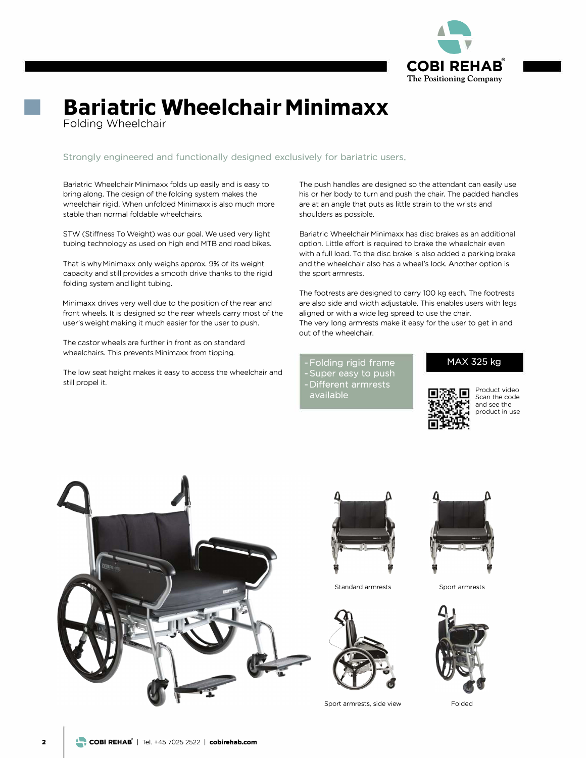

## ■ **<sup>B</sup>ariatri<sup>c</sup> <sup>W</sup>heelchai<sup>r</sup> Minimaxx**

Folding Wheelchair

**Strongly engineered and functionally designed exclusively for bariatric users.**

Bariatric Wheelchair Minimaxx folds up easily and is easy to bring along. The design of the folding system makes the wheelchair rigid. When unfolded Minimaxx is also much more stable than normal foldable wheelchairs.

STW (Stiffness To Weight) was our goal. We used very light tubing technology as used on high end MTB and road bikes.

That is why Minimaxx only weighs approx. 9% of its weight capacity and still provides a smooth drive thanks to the rigid folding system and light tubing.

Minimaxx drives very well due to the position of the rear and front wheels. It is designed so the rear wheels carry most of the user's weight making it much easier for the user to push.

The castor wheels are further in front as on standard wheelchairs. This prevents Minimaxx from tipping.

The low seat height makes it easy to access the wheelchair and still propel it.

The push handles are designed so the attendant can easily use his or her body to turn and push the chair. The padded handles are at an angle that puts as little strain to the wrists and shoulders as possible.

Bariatric Wheelchair Minimaxx has disc brakes as an additional option. Little effort is required to brake the wheelchair even with a full load. To the disc brake is also added a parking brake and the wheelchair also has a wheel's lock. Another option is the sport armrests.

The footrests are designed to carry 100 kg each. The footrests are also side and width adjustable. This enables users with legs aligned or with a wide leg spread to use the chair. The very long armrests make it easy for the user to get in and out of the wheelchair.

**- Felding rigid frame - Super easy to push - Different armrests available**

## **MAX 325 kg**



Produet video Sean the code and see the produet in use





Standard armrests



Sport armrests, side view



Sport armrests



Folded